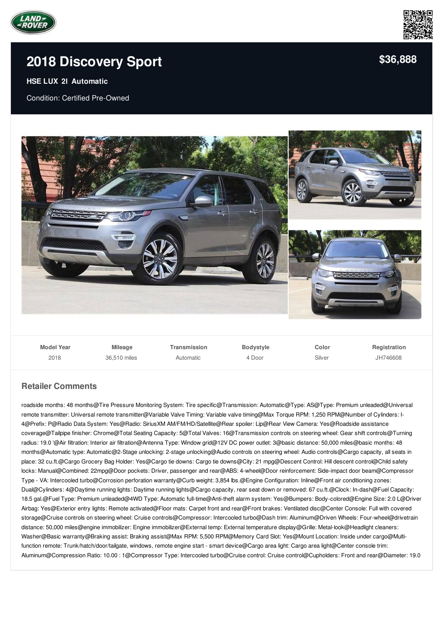



## **2018 [Discovery](/used-certified/pdf/) Sport**

## **HSE LUX 2l Automatic**

Condition: Certified Pre-Owned



| <b>Model Year</b> | <b>Mileage</b> | Transmission | <b>Bodystyle</b> | Color  | Registration |
|-------------------|----------------|--------------|------------------|--------|--------------|
| 2018              | 36,510 miles   | Automatic    | 4 Door           | Silver | JH746608     |

## **Retailer Comments**

roadside months: 48 months@Tire Pressure Monitoring System: Tire specific@Transmission: Automatic@Type: AS@Type: Premium unleaded@Universal remote transmitter: Universal remote transmitter@Variable Valve Timing: Variable valve timing@Max Torque RPM: 1,250 RPM@Number of Cylinders: I-4@Prefix: P@Radio Data System: Yes@Radio: SiriusXM AM/FM/HD/Satellite@Rear spoiler: Lip@Rear View Camera: Yes@Roadside assistance coverage@Tailpipe finisher: Chrome@Total Seating Capacity: 5@Total Valves: 16@Transmission controls on steering wheel: Gear shift controls@Turning radius: 19.0 '@Air filtration: Interior air filtration@Antenna Type: Window grid@12V DC power outlet: 3@basic distance: 50,000 miles@basic months: 48 months@Automatic type: Automatic@2-Stage unlocking: 2-stage unlocking@Audio controls on steering wheel: Audio controls@Cargo capacity, all seats in place: 32 cu.ft.@Cargo Grocery Bag Holder: Yes@Cargo tie downs: Cargo tie downs@City: 21 mpg@Descent Control: Hill descent control@Child safety locks: Manual@Combined: 22mpg@Door pockets: Driver, passenger and rear@ABS: 4-wheel@Door reinforcement: Side-impact door beam@Compressor Type - VA: Intercooled turbo@Corrosion perforation warranty@Curb weight: 3,854 lbs.@Engine Configuration: Inline@Front air conditioning zones: Dual@Cylinders: 4@Daytime running lights: Daytime running lights@Cargo capacity, rear seat down or removed: 67 cu.ft.@Clock: In-dash@Fuel Capacity: 18.5 gal.@Fuel Type: Premium unleaded@4WD Type: Automatic full-time@Anti-theft alarm system: Yes@Bumpers: Body-colored@Engine Size: 2.0 L@Driver Airbag: Yes@Exterior entry lights: Remote activated@Floor mats: Carpet front and rear@Front brakes: Ventilated disc@Center Console: Full with covered storage@Cruise controls on steering wheel: Cruise controls@Compressor: Intercooled turbo@Dash trim: Aluminum@Driven Wheels: Four-wheel@drivetrain distance: 50,000 miles@engine immobilizer: Engine immobilizer@External temp: External temperature display@Grille: Metal-look@Headlight cleaners: Washer@Basic warranty@Braking assist: Braking assist@Max RPM: 5,500 RPM@Memory Card Slot: Yes@Mount Location: Inside under cargo@Multifunction remote: Trunk/hatch/door/tailgate, windows, remote engine start - smart device@Cargo area light: Cargo area light@Center console trim: Aluminum@Compression Ratio: 10.00 : 1@Compressor Type: Intercooled turbo@Cruise control: Cruise control@Cupholders: Front and rear@Diameter: 19.0

**[\\$36,888](/used-certified/pdf/)**